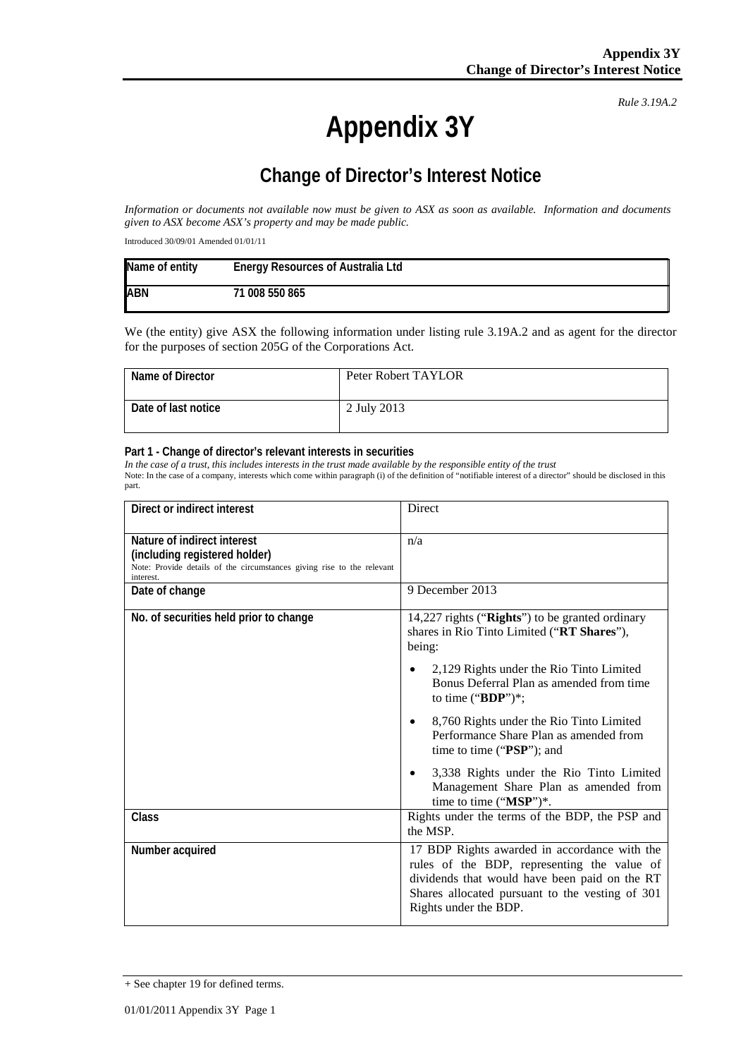*Rule 3.19A.2*

# **Appendix 3Y**

## **Change of Director's Interest Notice**

*Information or documents not available now must be given to ASX as soon as available. Information and documents given to ASX become ASX's property and may be made public.*

Introduced 30/09/01 Amended 01/01/11

| Name of entity | <b>Energy Resources of Australia Ltd</b> |
|----------------|------------------------------------------|
| <b>ABN</b>     | 71 008 550 865                           |

We (the entity) give ASX the following information under listing rule 3.19A.2 and as agent for the director for the purposes of section 205G of the Corporations Act.

| Name of Director    | Peter Robert TAYLOR |
|---------------------|---------------------|
| Date of last notice | 2 July 2013         |

#### **Part 1 - Change of director's relevant interests in securities**

*In the case of a trust, this includes interests in the trust made available by the responsible entity of the trust* Note: In the case of a company, interests which come within paragraph (i) of the definition of "notifiable interest of a director" should be disclosed in this part.

| Direct or indirect interest                                                                                                                         | Direct                                                                                                                                                                                                                   |
|-----------------------------------------------------------------------------------------------------------------------------------------------------|--------------------------------------------------------------------------------------------------------------------------------------------------------------------------------------------------------------------------|
| Nature of indirect interest<br>(including registered holder)<br>Note: Provide details of the circumstances giving rise to the relevant<br>interest. | n/a                                                                                                                                                                                                                      |
| Date of change                                                                                                                                      | 9 December 2013                                                                                                                                                                                                          |
| No. of securities held prior to change                                                                                                              | 14,227 rights ("Rights") to be granted ordinary<br>shares in Rio Tinto Limited ("RT Shares"),<br>being:                                                                                                                  |
|                                                                                                                                                     | 2,129 Rights under the Rio Tinto Limited<br>Bonus Deferral Plan as amended from time<br>to time (" $BDP$ ")*;                                                                                                            |
|                                                                                                                                                     | 8,760 Rights under the Rio Tinto Limited<br>$\bullet$<br>Performance Share Plan as amended from<br>time to time (" $PSP$ "); and                                                                                         |
|                                                                                                                                                     | 3,338 Rights under the Rio Tinto Limited<br>Management Share Plan as amended from<br>time to time ("MSP")*.                                                                                                              |
| Class                                                                                                                                               | Rights under the terms of the BDP, the PSP and<br>the MSP.                                                                                                                                                               |
| Number acquired                                                                                                                                     | 17 BDP Rights awarded in accordance with the<br>rules of the BDP, representing the value of<br>dividends that would have been paid on the RT<br>Shares allocated pursuant to the vesting of 301<br>Rights under the BDP. |

<sup>+</sup> See chapter 19 for defined terms.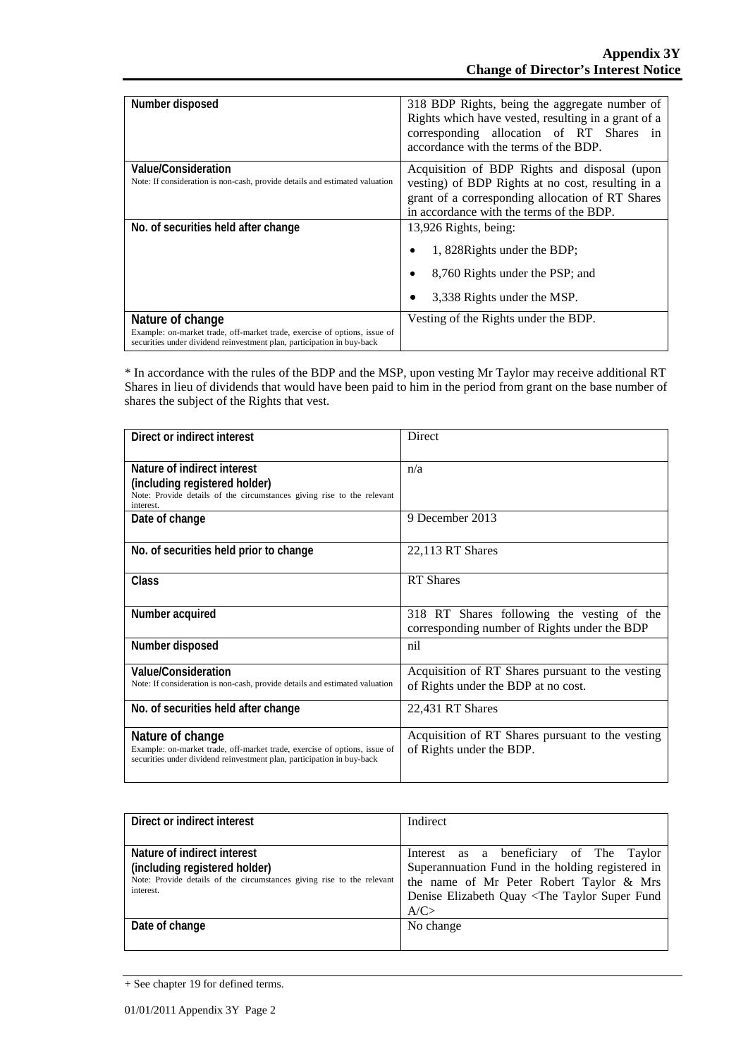| Number disposed                                                                                                                                     | 318 BDP Rights, being the aggregate number of<br>Rights which have vested, resulting in a grant of a<br>corresponding allocation of RT Shares in<br>accordance with the terms of the BDP. |
|-----------------------------------------------------------------------------------------------------------------------------------------------------|-------------------------------------------------------------------------------------------------------------------------------------------------------------------------------------------|
| Value/Consideration                                                                                                                                 | Acquisition of BDP Rights and disposal (upon                                                                                                                                              |
| Note: If consideration is non-cash, provide details and estimated valuation                                                                         | vesting) of BDP Rights at no cost, resulting in a                                                                                                                                         |
|                                                                                                                                                     | grant of a corresponding allocation of RT Shares                                                                                                                                          |
|                                                                                                                                                     | in accordance with the terms of the BDP.                                                                                                                                                  |
| No. of securities held after change                                                                                                                 | 13,926 Rights, being:                                                                                                                                                                     |
|                                                                                                                                                     | 1, 828 Rights under the BDP;<br>۰                                                                                                                                                         |
|                                                                                                                                                     | 8,760 Rights under the PSP; and                                                                                                                                                           |
|                                                                                                                                                     | 3,338 Rights under the MSP.                                                                                                                                                               |
| Nature of change                                                                                                                                    | Vesting of the Rights under the BDP.                                                                                                                                                      |
| Example: on-market trade, off-market trade, exercise of options, issue of<br>securities under dividend reinvestment plan, participation in buy-back |                                                                                                                                                                                           |

\* In accordance with the rules of the BDP and the MSP, upon vesting Mr Taylor may receive additional RT Shares in lieu of dividends that would have been paid to him in the period from grant on the base number of shares the subject of the Rights that vest.

| Direct or indirect interest                                                                                                                                             | Direct                                                                                     |
|-------------------------------------------------------------------------------------------------------------------------------------------------------------------------|--------------------------------------------------------------------------------------------|
| Nature of indirect interest<br>(including registered holder)<br>Note: Provide details of the circumstances giving rise to the relevant<br>interest.                     | n/a                                                                                        |
| Date of change                                                                                                                                                          | 9 December 2013                                                                            |
| No. of securities held prior to change                                                                                                                                  | 22,113 RT Shares                                                                           |
| Class                                                                                                                                                                   | <b>RT</b> Shares                                                                           |
| Number acquired                                                                                                                                                         | 318 RT Shares following the vesting of the<br>corresponding number of Rights under the BDP |
| Number disposed                                                                                                                                                         | nil                                                                                        |
| Value/Consideration<br>Note: If consideration is non-cash, provide details and estimated valuation                                                                      | Acquisition of RT Shares pursuant to the vesting<br>of Rights under the BDP at no cost.    |
| No. of securities held after change                                                                                                                                     | 22,431 RT Shares                                                                           |
| Nature of change<br>Example: on-market trade, off-market trade, exercise of options, issue of<br>securities under dividend reinvestment plan, participation in buy-back | Acquisition of RT Shares pursuant to the vesting<br>of Rights under the BDP.               |

| Direct or indirect interest                                                                                                                         | Indirect                                                                                                                                                                                                      |
|-----------------------------------------------------------------------------------------------------------------------------------------------------|---------------------------------------------------------------------------------------------------------------------------------------------------------------------------------------------------------------|
| Nature of indirect interest<br>(including registered holder)<br>Note: Provide details of the circumstances giving rise to the relevant<br>interest. | Interest as a beneficiary of The Taylor<br>Superannuation Fund in the holding registered in<br>the name of Mr Peter Robert Taylor & Mrs<br>Denise Elizabeth Quay <the fund<br="" super="" taylor="">A/C</the> |
| Date of change                                                                                                                                      | No change                                                                                                                                                                                                     |

<sup>+</sup> See chapter 19 for defined terms.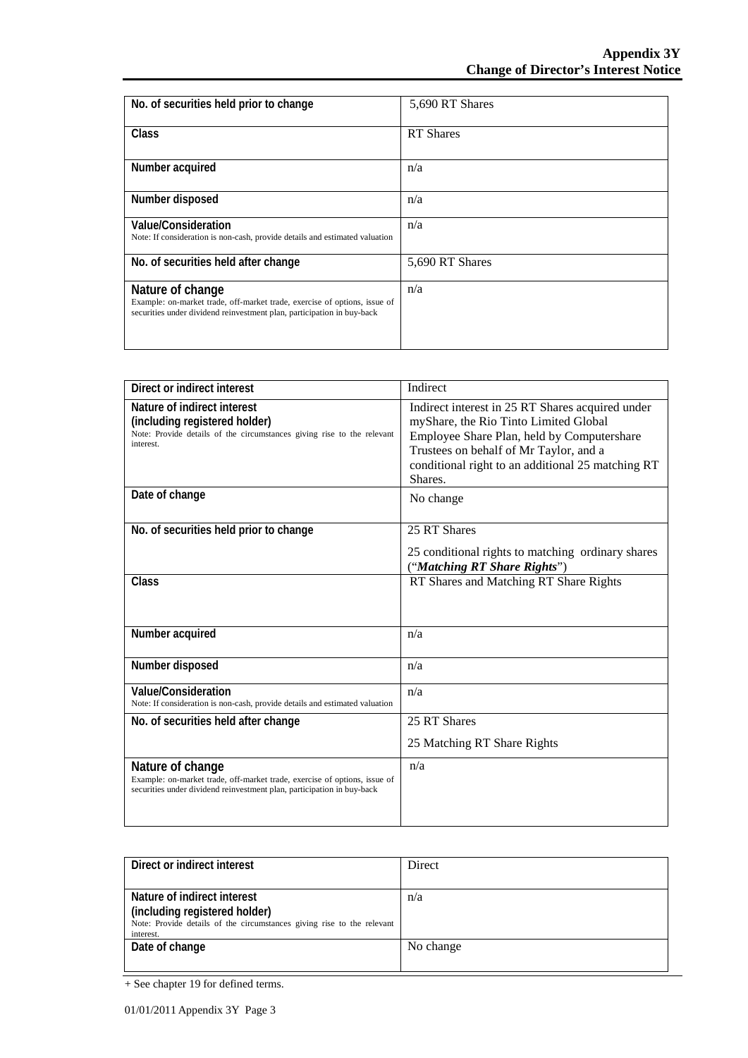| No. of securities held prior to change                                                                                                                                  | 5,690 RT Shares  |
|-------------------------------------------------------------------------------------------------------------------------------------------------------------------------|------------------|
| <b>Class</b>                                                                                                                                                            | <b>RT</b> Shares |
| Number acquired                                                                                                                                                         | n/a              |
| Number disposed                                                                                                                                                         | n/a              |
| Value/Consideration<br>Note: If consideration is non-cash, provide details and estimated valuation                                                                      | n/a              |
| No. of securities held after change                                                                                                                                     | 5,690 RT Shares  |
| Nature of change<br>Example: on-market trade, off-market trade, exercise of options, issue of<br>securities under dividend reinvestment plan, participation in buy-back | n/a              |

| Direct or indirect interest                                                                                                                                             | Indirect                                                                                                                                                                                                                                          |
|-------------------------------------------------------------------------------------------------------------------------------------------------------------------------|---------------------------------------------------------------------------------------------------------------------------------------------------------------------------------------------------------------------------------------------------|
| Nature of indirect interest<br>(including registered holder)<br>Note: Provide details of the circumstances giving rise to the relevant<br>interest.                     | Indirect interest in 25 RT Shares acquired under<br>myShare, the Rio Tinto Limited Global<br>Employee Share Plan, held by Computershare<br>Trustees on behalf of Mr Taylor, and a<br>conditional right to an additional 25 matching RT<br>Shares. |
| Date of change                                                                                                                                                          | No change                                                                                                                                                                                                                                         |
| No. of securities held prior to change                                                                                                                                  | 25 RT Shares<br>25 conditional rights to matching ordinary shares<br>("Matching RT Share Rights")                                                                                                                                                 |
| Class                                                                                                                                                                   | RT Shares and Matching RT Share Rights                                                                                                                                                                                                            |
| Number acquired                                                                                                                                                         | n/a                                                                                                                                                                                                                                               |
| Number disposed                                                                                                                                                         | n/a                                                                                                                                                                                                                                               |
| Value/Consideration<br>Note: If consideration is non-cash, provide details and estimated valuation                                                                      | n/a                                                                                                                                                                                                                                               |
| No. of securities held after change                                                                                                                                     | 25 RT Shares                                                                                                                                                                                                                                      |
|                                                                                                                                                                         | 25 Matching RT Share Rights                                                                                                                                                                                                                       |
| Nature of change<br>Example: on-market trade, off-market trade, exercise of options, issue of<br>securities under dividend reinvestment plan, participation in buy-back | n/a                                                                                                                                                                                                                                               |

| Direct or indirect interest                                            | Direct    |
|------------------------------------------------------------------------|-----------|
|                                                                        |           |
| Nature of indirect interest                                            | n/a       |
| (including registered holder)                                          |           |
| Note: Provide details of the circumstances giving rise to the relevant |           |
| interest.                                                              |           |
| Date of change                                                         | No change |
|                                                                        |           |

<sup>+</sup> See chapter 19 for defined terms.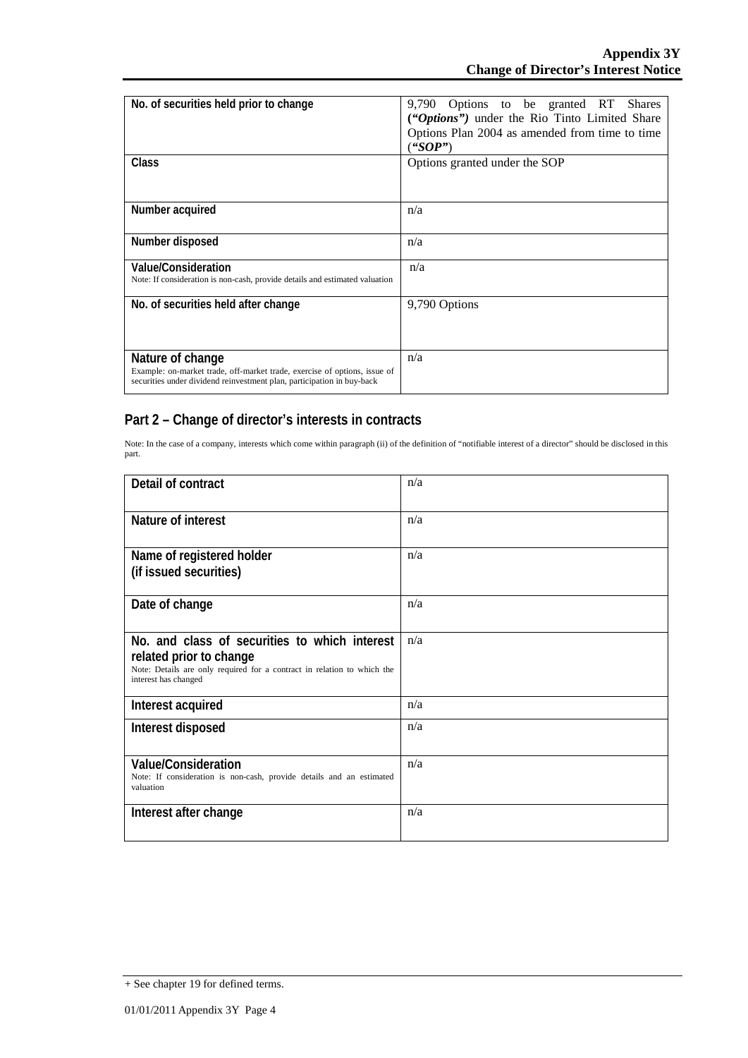| No. of securities held prior to change                                                                                                                                  | 9,790 Options to be granted RT Shares<br>("Options") under the Rio Tinto Limited Share<br>Options Plan 2004 as amended from time to time<br>("SOP") |
|-------------------------------------------------------------------------------------------------------------------------------------------------------------------------|-----------------------------------------------------------------------------------------------------------------------------------------------------|
| Class                                                                                                                                                                   | Options granted under the SOP                                                                                                                       |
| Number acquired                                                                                                                                                         | n/a                                                                                                                                                 |
| Number disposed                                                                                                                                                         | n/a                                                                                                                                                 |
| Value/Consideration<br>Note: If consideration is non-cash, provide details and estimated valuation                                                                      | n/a                                                                                                                                                 |
| No. of securities held after change                                                                                                                                     | 9,790 Options                                                                                                                                       |
| Nature of change<br>Example: on-market trade, off-market trade, exercise of options, issue of<br>securities under dividend reinvestment plan, participation in buy-back | n/a                                                                                                                                                 |

### **Part 2 – Change of director's interests in contracts**

Note: In the case of a company, interests which come within paragraph (ii) of the definition of "notifiable interest of a director" should be disclosed in this part.

| Detail of contract                                                                                                                                                          | n/a |
|-----------------------------------------------------------------------------------------------------------------------------------------------------------------------------|-----|
| Nature of interest                                                                                                                                                          | n/a |
| Name of registered holder<br>(if issued securities)                                                                                                                         | n/a |
| Date of change                                                                                                                                                              | n/a |
| No. and class of securities to which interest<br>related prior to change<br>Note: Details are only required for a contract in relation to which the<br>interest has changed | n/a |
| Interest acquired                                                                                                                                                           | n/a |
| Interest disposed                                                                                                                                                           | n/a |
| <b>Value/Consideration</b><br>Note: If consideration is non-cash, provide details and an estimated<br>valuation                                                             | n/a |
| Interest after change                                                                                                                                                       | n/a |

<sup>+</sup> See chapter 19 for defined terms.